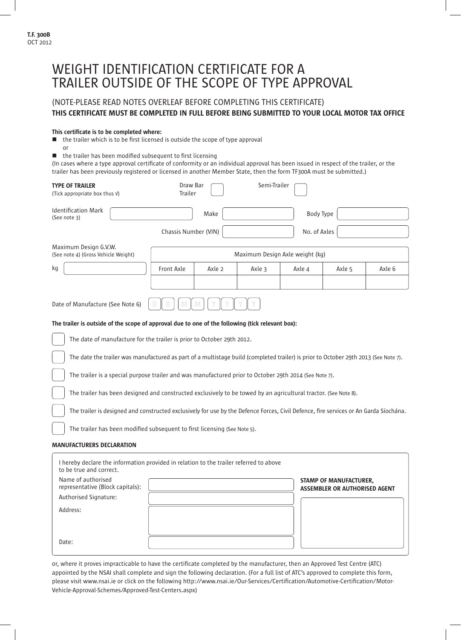# WEIGHT IDENTIFICATION CERTIFICATE FOR A TRAILER OUTSIDE OF THE SCOPE OF TYPE APPROVAL

# (NOTE-PLEASE READ NOTES OVERLEAF BEFORE COMPLETING THIS CERTIFICATE) THIS CERTIFICATE MUST BE COMPLETED IN FULL BEFORE BEING SUBMITTED TO YOUR LOCAL MOTOR TAX OFFICE

### This certificate is to be completed where:

Date:

 $\blacksquare$  the trailer which is to be first licensed is outside the scope of type approval or

 $\blacksquare$  the trailer has been modified subsequent to first licensing

(In cases where a type approval certificate of conformity or an individual approval has been issued in respect of the trailer, or the trailer has been previously registered or licensed in another Member State, then the form TF300A must be submitted.)

| <b>TYPE OF TRAILER</b><br>(Tick appropriate box thus v)                                                                               | Draw Bar<br><b>Trailer</b> |                                 | Semi-Trailer |              |                                                                       |        |  |
|---------------------------------------------------------------------------------------------------------------------------------------|----------------------------|---------------------------------|--------------|--------------|-----------------------------------------------------------------------|--------|--|
| <b>Identification Mark</b><br>(See note 3)                                                                                            |                            | Make                            |              | Body Type    |                                                                       |        |  |
|                                                                                                                                       | Chassis Number (VIN)       |                                 |              | No. of Axles |                                                                       |        |  |
| Maximum Design G.V.W.<br>(See note 4) (Gross Vehicle Weight)                                                                          |                            | Maximum Design Axle weight (kg) |              |              |                                                                       |        |  |
| kg                                                                                                                                    | Front Axle                 | Axle 2                          | Axle 3       | Axle 4       | Axle 5                                                                | Axle 6 |  |
|                                                                                                                                       |                            |                                 |              |              |                                                                       |        |  |
| Date of Manufacture (See Note 6)                                                                                                      |                            |                                 |              |              |                                                                       |        |  |
| The trailer is outside of the scope of approval due to one of the following (tick relevant box):                                      |                            |                                 |              |              |                                                                       |        |  |
| The date of manufacture for the trailer is prior to October 29th 2012.                                                                |                            |                                 |              |              |                                                                       |        |  |
| The date the trailer was manufactured as part of a multistage build (completed trailer) is prior to October 29th 2013 (See Note 7).   |                            |                                 |              |              |                                                                       |        |  |
| The trailer is a special purpose trailer and was manufactured prior to October 29th 2014 (See Note 7).                                |                            |                                 |              |              |                                                                       |        |  |
| The trailer has been designed and constructed exclusively to be towed by an agricultural tractor. (See Note 8).                       |                            |                                 |              |              |                                                                       |        |  |
| The trailer is designed and constructed exclusively for use by the Defence Forces, Civil Defence, fire services or An Garda Síochána. |                            |                                 |              |              |                                                                       |        |  |
| The trailer has been modified subsequent to first licensing (See Note 5).                                                             |                            |                                 |              |              |                                                                       |        |  |
| <b>MANUFACTURERS DECLARATION</b>                                                                                                      |                            |                                 |              |              |                                                                       |        |  |
| I hereby declare the information provided in relation to the trailer referred to above<br>to be true and correct.                     |                            |                                 |              |              |                                                                       |        |  |
| Name of authorised<br>representative (Block capitals):                                                                                |                            |                                 |              |              | <b>STAMP OF MANUFACTURER,</b><br><b>ASSEMBLER OR AUTHORISED AGENT</b> |        |  |
| Authorised Signature:                                                                                                                 |                            |                                 |              |              |                                                                       |        |  |
| Address:                                                                                                                              |                            |                                 |              |              |                                                                       |        |  |

or, where it proves impracticable to have the certificate completed by the manufacturer, then an Approved Test Centre (ATC) appointed by the NSAI shall complete and sign the following declaration. (For a full list of ATC's approved to complete this form, please visit www.nsai.ie or click on the following http://www.nsai.ie/Our-Services/Certification/Automotive-Certification/Motor-Vehicle-Approval-Schemes/Approved-Test-Centers.aspx)